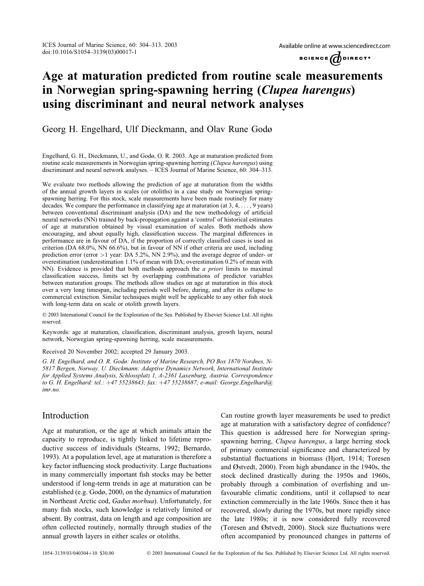Available online at www.sciencedirect.com



# Age at maturation predicted from routine scale measurements in Norwegian spring-spawning herring (Clupea harengus) using discriminant and neural network analyses

## Georg H. Engelhard, Ulf Dieckmann, and Olav Rune Godø

Engelhard, G. H., Dieckmann, U., and Godø, O. R. 2003. Age at maturation predicted from routine scale measurements in Norwegian spring-spawning herring (Clupea harengus) using discriminant and neural network analyses. – ICES Journal of Marine Science, 60: 304–313.

We evaluate two methods allowing the prediction of age at maturation from the widths of the annual growth layers in scales (or otoliths) in a case study on Norwegian springspawning herring. For this stock, scale measurements have been made routinely for many decades. We compare the performance in classifying age at maturation (at 3, 4, ... , 9 years) between conventional discriminant analysis (DA) and the new methodology of artificial neural networks (NN) trained by back-propagation against a 'control' of historical estimates of age at maturation obtained by visual examination of scales. Both methods show encouraging, and about equally high, classification success. The marginal differences in performance are in favour of DA, if the proportion of correctly classified cases is used as criterion (DA 68.0%, NN 66.6%), but in favour of NN if other criteria are used, including prediction error (error >1 year: DA 5.2%, NN 2.9%), and the average degree of under- or overestimation (underestimation 1.1% of mean with DA; overestimation 0.2% of mean with NN). Evidence is provided that both methods approach the *a priori* limits to maximal classification success, limits set by overlapping combinations of predictor variables between maturation groups. The methods allow studies on age at maturation in this stock over a very long timespan, including periods well before, during, and after its collapse to commercial extinction. Similar techniques might well be applicable to any other fish stock with long-term data on scale or otolith growth layers.

 2003 International Council for the Exploration of the Sea. Published by Elsevier Science Ltd. All rights reserved.

Keywords: age at maturation, classification, discriminant analysis, growth layers, neural network, Norwegian spring-spawning herring, scale measurements.

Received 20 November 2002; accepted 29 January 2003.

G. H. Engelhard, and O. R. Godø: Institute of Marine Research, PO Box 1870 Nordnes, N-5817 Bergen, Norway. U. Dieckmann: Adaptive Dynamics Network, International Institute for Applied Systems Analysis, Schlossplatz 1, A-2361 Laxenburg, Austria. Correspondence to G. H. Engelhard: tel.: +47 55238643; fax: +47 55238687; e-mail: George.Engelhard@ imr.no.

# Introduction

Age at maturation, or the age at which animals attain the capacity to reproduce, is tightly linked to lifetime reproductive success of individuals (Stearns, 1992; Bernardo, 1993). At a population level, age at maturation is therefore a key factor influencing stock productivity. Large fluctuations in many commercially important fish stocks may be better understood if long-term trends in age at maturation can be established (e.g. Godø, 2000, on the dynamics of maturation in Northeast Arctic cod, Gadus morhua). Unfortunately, for many fish stocks, such knowledge is relatively limited or absent. By contrast, data on length and age composition are often collected routinely, normally through studies of the annual growth layers in either scales or otoliths.

Can routine growth layer measurements be used to predict age at maturation with a satisfactory degree of confidence? This question is addressed here for Norwegian springspawning herring, Clupea harengus, a large herring stock of primary commercial significance and characterized by substantial fluctuations in biomass (Hjort, 1914; Toresen and Østvedt, 2000). From high abundance in the 1940s, the stock declined drastically during the 1950s and 1960s, probably through a combination of overfishing and unfavourable climatic conditions, until it collapsed to near extinction commercially in the late 1960s. Since then it has recovered, slowly during the 1970s, but more rapidly since the late 1980s; it is now considered fully recovered (Toresen and Østvedt, 2000). Stock size fluctuations were often accompanied by pronounced changes in patterns of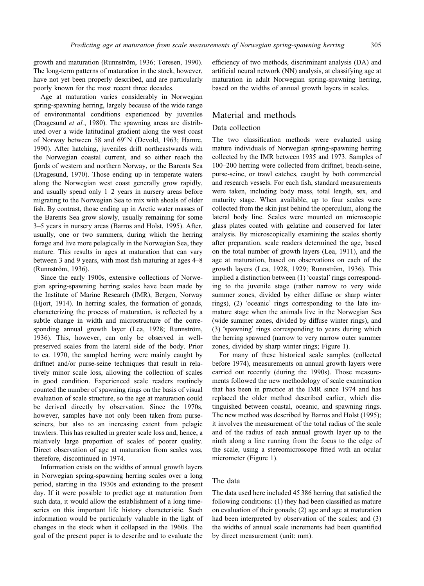growth and maturation (Runnström, 1936; Toresen, 1990). The long-term patterns of maturation in the stock, however, have not yet been properly described, and are particularly poorly known for the most recent three decades.

Age at maturation varies considerably in Norwegian spring-spawning herring, largely because of the wide range of environmental conditions experienced by juveniles (Dragesund *et al.*, 1980). The spawning areas are distributed over a wide latitudinal gradient along the west coast of Norway between 58 and 69°N (Devold, 1963; Hamre, 1990). After hatching, juveniles drift northeastwards with the Norwegian coastal current, and so either reach the fjords of western and northern Norway, or the Barents Sea (Dragesund, 1970). Those ending up in temperate waters along the Norwegian west coast generally grow rapidly, and usually spend only 1–2 years in nursery areas before migrating to the Norwegian Sea to mix with shoals of older fish. By contrast, those ending up in Arctic water masses of the Barents Sea grow slowly, usually remaining for some 3–5 years in nursery areas (Barros and Holst, 1995). After, usually, one or two summers, during which the herring forage and live more pelagically in the Norwegian Sea, they mature. This results in ages at maturation that can vary between 3 and 9 years, with most fish maturing at ages 4–8 (Runnström, 1936).

Since the early 1900s, extensive collections of Norwegian spring-spawning herring scales have been made by the Institute of Marine Research (IMR), Bergen, Norway (Hjort, 1914). In herring scales, the formation of gonads, characterizing the process of maturation, is reflected by a subtle change in width and microstructure of the corresponding annual growth layer (Lea, 1928; Runnström, 1936). This, however, can only be observed in wellpreserved scales from the lateral side of the body. Prior to ca. 1970, the sampled herring were mainly caught by driftnet and/or purse-seine techniques that result in relatively minor scale loss, allowing the collection of scales in good condition. Experienced scale readers routinely counted the number of spawning rings on the basis of visual evaluation of scale structure, so the age at maturation could be derived directly by observation. Since the 1970s, however, samples have not only been taken from purseseiners, but also to an increasing extent from pelagic trawlers. This has resulted in greater scale loss and, hence, a relatively large proportion of scales of poorer quality. Direct observation of age at maturation from scales was, therefore, discontinued in 1974.

Information exists on the widths of annual growth layers in Norwegian spring-spawning herring scales over a long period, starting in the 1930s and extending to the present day. If it were possible to predict age at maturation from such data, it would allow the establishment of a long timeseries on this important life history characteristic. Such information would be particularly valuable in the light of changes in the stock when it collapsed in the 1960s. The goal of the present paper is to describe and to evaluate the efficiency of two methods, discriminant analysis (DA) and artificial neural network (NN) analysis, at classifying age at maturation in adult Norwegian spring-spawning herring, based on the widths of annual growth layers in scales.

## Material and methods

### Data collection

The two classification methods were evaluated using mature individuals of Norwegian spring-spawning herring collected by the IMR between 1935 and 1973. Samples of 100–200 herring were collected from driftnet, beach-seine, purse-seine, or trawl catches, caught by both commercial and research vessels. For each fish, standard measurements were taken, including body mass, total length, sex, and maturity stage. When available, up to four scales were collected from the skin just behind the operculum, along the lateral body line. Scales were mounted on microscopic glass plates coated with gelatine and conserved for later analysis. By microscopically examining the scales shortly after preparation, scale readers determined the age, based on the total number of growth layers (Lea, 1911), and the age at maturation, based on observations on each of the growth layers (Lea, 1928, 1929; Runnström, 1936). This implied a distinction between (1) 'coastal' rings corresponding to the juvenile stage (rather narrow to very wide summer zones, divided by either diffuse or sharp winter rings), (2) 'oceanic' rings corresponding to the late immature stage when the animals live in the Norwegian Sea (wide summer zones, divided by diffuse winter rings), and (3) 'spawning' rings corresponding to years during which the herring spawned (narrow to very narrow outer summer zones, divided by sharp winter rings; Figure 1).

For many of these historical scale samples (collected before 1974), measurements on annual growth layers were carried out recently (during the 1990s). Those measurements followed the new methodology of scale examination that has been in practice at the IMR since 1974 and has replaced the older method described earlier, which distinguished between coastal, oceanic, and spawning rings. The new method was described by Barros and Holst (1995); it involves the measurement of the total radius of the scale and of the radius of each annual growth layer up to the ninth along a line running from the focus to the edge of the scale, using a stereomicroscope fitted with an ocular micrometer (Figure 1).

#### The data

The data used here included 45 386 herring that satisfied the following conditions: (1) they had been classified as mature on evaluation of their gonads; (2) age and age at maturation had been interpreted by observation of the scales; and (3) the widths of annual scale increments had been quantified by direct measurement (unit: mm).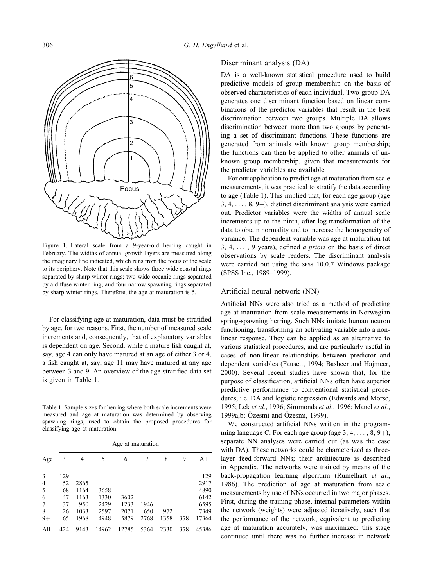

Figure 1. Lateral scale from a 9-year-old herring caught in February. The widths of annual growth layers are measured along the imaginary line indicated, which runs from the focus of the scale to its periphery. Note that this scale shows three wide coastal rings separated by sharp winter rings; two wide oceanic rings separated by a diffuse winter ring; and four narrow spawning rings separated by sharp winter rings. Therefore, the age at maturation is 5.

For classifying age at maturation, data must be stratified by age, for two reasons. First, the number of measured scale increments and, consequently, that of explanatory variables is dependent on age. Second, while a mature fish caught at, say, age 4 can only have matured at an age of either 3 or 4, a fish caught at, say, age 11 may have matured at any age between 3 and 9. An overview of the age-stratified data set is given in Table 1.

Table 1. Sample sizes for herring where both scale increments were measured and age at maturation was determined by observing spawning rings, used to obtain the proposed procedures for classifying age at maturation.

|      |     | Age at maturation |       |       |      |      |     |       |  |  |
|------|-----|-------------------|-------|-------|------|------|-----|-------|--|--|
| Age  | 3   | 4                 | 5     | 6     | 7    | 8    | 9   | All   |  |  |
| 3    | 129 |                   |       |       |      |      |     | 129   |  |  |
| 4    | 52  | 2865              |       |       |      |      |     | 2917  |  |  |
| 5    | 68  | 1164              | 3658  |       |      |      |     | 4890  |  |  |
| 6    | 47  | 1163              | 1330  | 3602  |      |      |     | 6142  |  |  |
| 7    | 37  | 950               | 2429  | 1233  | 1946 |      |     | 6595  |  |  |
| 8    | 26  | 1033              | 2597  | 2071  | 650  | 972  |     | 7349  |  |  |
| $9+$ | 65  | 1968              | 4948  | 5879  | 2768 | 1358 | 378 | 17364 |  |  |
| All  | 424 | 9143              | 14962 | 12785 | 5364 | 2330 | 378 | 45386 |  |  |

#### Discriminant analysis (DA)

DA is a well-known statistical procedure used to build predictive models of group membership on the basis of observed characteristics of each individual. Two-group DA generates one discriminant function based on linear combinations of the predictor variables that result in the best discrimination between two groups. Multiple DA allows discrimination between more than two groups by generating a set of discriminant functions. These functions are generated from animals with known group membership; the functions can then be applied to other animals of unknown group membership, given that measurements for the predictor variables are available.

For our application to predict age at maturation from scale measurements, it was practical to stratify the data according to age (Table 1). This implied that, for each age group (age  $3, 4, \ldots, 8, 9+$ , distinct discriminant analysis were carried out. Predictor variables were the widths of annual scale increments up to the ninth, after log-transformation of the data to obtain normality and to increase the homogeneity of variance. The dependent variable was age at maturation (at 3, 4,  $\dots$ , 9 years), defined *a priori* on the basis of direct observations by scale readers. The discriminant analysis were carried out using the SPSS 10.0.7 Windows package (SPSS Inc., 1989–1999).

#### Artificial neural network (NN)

Artificial NNs were also tried as a method of predicting age at maturation from scale measurements in Norwegian spring-spawning herring. Such NNs imitate human neuron functioning, transforming an activating variable into a nonlinear response. They can be applied as an alternative to various statistical procedures, and are particularly useful in cases of non-linear relationships between predictor and dependent variables (Fausett, 1994; Basheer and Hajmeer, 2000). Several recent studies have shown that, for the purpose of classification, artificial NNs often have superior predictive performance to conventional statistical procedures, i.e. DA and logistic regression (Edwards and Morse, 1995; Lek et al., 1996; Simmonds et al., 1996; Manel et al., 1999a,b; Özesmi and Özesmi, 1999).

We constructed artificial NNs written in the programming language C. For each age group (age  $3, 4, \ldots, 8, 9 +$ ), separate NN analyses were carried out (as was the case with DA). These networks could be characterized as threelayer feed-forward NNs; their architecture is described in Appendix. The networks were trained by means of the back-propagation learning algorithm (Rumelhart et al., 1986). The prediction of age at maturation from scale measurements by use of NNs occurred in two major phases. First, during the training phase, internal parameters within the network (weights) were adjusted iteratively, such that the performance of the network, equivalent to predicting age at maturation accurately, was maximized; this stage continued until there was no further increase in network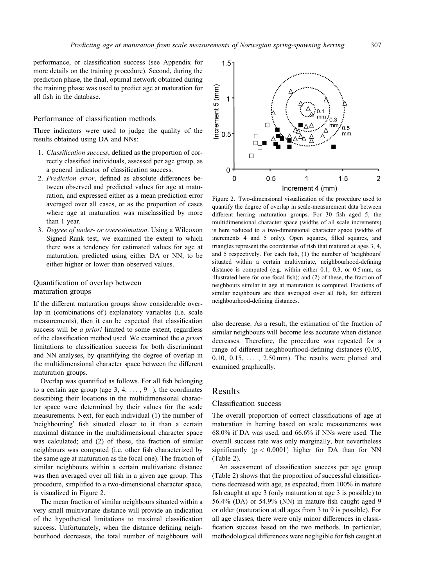performance, or classification success (see Appendix for more details on the training procedure). Second, during the prediction phase, the final, optimal network obtained during the training phase was used to predict age at maturation for all fish in the database.

#### Performance of classification methods

Three indicators were used to judge the quality of the results obtained using DA and NNs:

- 1. Classification success, defined as the proportion of correctly classified individuals, assessed per age group, as a general indicator of classification success.
- 2. Prediction error, defined as absolute differences between observed and predicted values for age at maturation, and expressed either as a mean prediction error averaged over all cases, or as the proportion of cases where age at maturation was misclassified by more than 1 year.
- 3. Degree of under- or overestimation. Using a Wilcoxon Signed Rank test, we examined the extent to which there was a tendency for estimated values for age at maturation, predicted using either DA or NN, to be either higher or lower than observed values.

#### Quantification of overlap between maturation groups

If the different maturation groups show considerable overlap in (combinations of) explanatory variables (i.e. scale measurements), then it can be expected that classification success will be *a priori* limited to some extent, regardless of the classification method used. We examined the a priori limitations to classification success for both discriminant and NN analyses, by quantifying the degree of overlap in the multidimensional character space between the different maturation groups.

Overlap was quantified as follows. For all fish belonging to a certain age group (age  $3, 4, \ldots, 9+$ ), the coordinates describing their locations in the multidimensional character space were determined by their values for the scale measurements. Next, for each individual (1) the number of 'neighbouring' fish situated closer to it than a certain maximal distance in the multidimensional character space was calculated; and (2) of these, the fraction of similar neighbours was computed (i.e. other fish characterized by the same age at maturation as the focal one). The fraction of similar neighbours within a certain multivariate distance was then averaged over all fish in a given age group. This procedure, simplified to a two-dimensional character space, is visualized in Figure 2.

The mean fraction of similar neighbours situated within a very small multivariate distance will provide an indication of the hypothetical limitations to maximal classification success. Unfortunately, when the distance defining neighbourhood decreases, the total number of neighbours will



Figure 2. Two-dimensional visualization of the procedure used to quantify the degree of overlap in scale-measurement data between different herring maturation groups. For 30 fish aged 5, the multidimensional character space (widths of all scale increments) is here reduced to a two-dimensional character space (widths of increments 4 and 5 only). Open squares, filled squares, and triangles represent the coordinates of fish that matured at ages 3, 4, and 5 respectively. For each fish, (1) the number of 'neighbours' situated within a certain multivariate, neighbourhood-defining distance is computed (e.g. within either 0.1, 0.3, or 0.5 mm, as illustrated here for one focal fish); and (2) of these, the fraction of neighbours similar in age at maturation is computed. Fractions of similar neighbours are then averaged over all fish, for different neighbourhood-defining distances.

also decrease. As a result, the estimation of the fraction of similar neighbours will become less accurate when distance decreases. Therefore, the procedure was repeated for a range of different neighbourhood-defining distances (0.05, 0.10,  $0.15$ ,  $\dots$ ,  $2.50$  mm). The results were plotted and examined graphically.

#### Results

#### Classification success

The overall proportion of correct classifications of age at maturation in herring based on scale measurements was 68.0% if DA was used, and 66.6% if NNs were used. The overall success rate was only marginally, but nevertheless significantly  $(p < 0.0001)$  higher for DA than for NN (Table 2).

An assessment of classification success per age group (Table 2) shows that the proportion of successful classifications decreased with age, as expected, from 100% in mature fish caught at age 3 (only maturation at age 3 is possible) to 56.4% (DA) or 54.9% (NN) in mature fish caught aged 9 or older (maturation at all ages from 3 to 9 is possible). For all age classes, there were only minor differences in classification success based on the two methods. In particular, methodological differences were negligible for fish caught at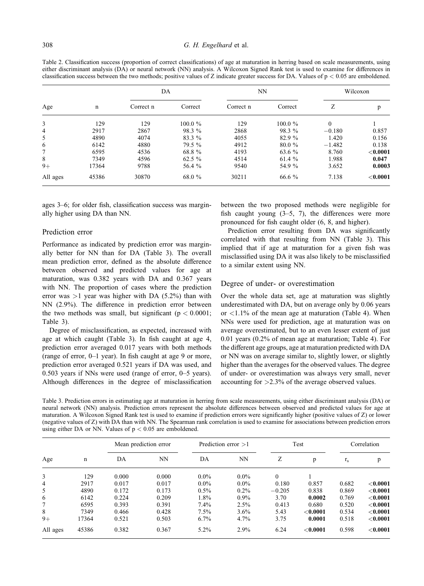Table 2. Classification success (proportion of correct classifications) of age at maturation in herring based on scale measurements, using either discriminant analysis (DA) or neural network (NN) analysis. A Wilcoxon Signed Rank test is used to examine for differences in classification success between the two methods; positive values of Z indicate greater success for DA. Values of p < 0:05 are emboldened.

| Age            |             | DA        |            | <b>NN</b> |            | Wilcoxon |             |
|----------------|-------------|-----------|------------|-----------|------------|----------|-------------|
|                | $\mathbf n$ | Correct n | Correct    | Correct n | Correct    | Ζ        | p           |
| 3              | 129         | 129       | $100.0 \%$ | 129       | $100.0 \%$ | $\theta$ |             |
| $\overline{4}$ | 2917        | 2867      | 98.3 %     | 2868      | 98.3 %     | $-0.180$ | 0.857       |
| 5              | 4890        | 4074      | 83.3 %     | 4055      | 82.9 %     | 1.420    | 0.156       |
| 6              | 6142        | 4880      | 79.5 %     | 4912      | 80.0 %     | $-1.482$ | 0.138       |
| 7              | 6595        | 4536      | 68.8%      | 4193      | 63.6 %     | 8.760    | ${<}0.0001$ |
| 8              | 7349        | 4596      | 62.5 %     | 4514      | 61.4 %     | 1.988    | 0.047       |
| $9+$           | 17364       | 9788      | 56.4 %     | 9540      | 54.9 %     | 3.652    | 0.0003      |
| All ages       | 45386       | 30870     | 68.0 %     | 30211     | 66.6 %     | 7.138    | ${<}0.0001$ |

ages 3–6; for older fish, classification success was marginally higher using DA than NN.

#### Prediction error

Performance as indicated by prediction error was marginally better for NN than for DA (Table 3). The overall mean prediction error, defined as the absolute difference between observed and predicted values for age at maturation, was 0.382 years with DA and 0.367 years with NN. The proportion of cases where the prediction error was  $>1$  year was higher with DA (5.2%) than with NN (2.9%). The difference in prediction error between the two methods was small, but significant  $(p < 0.0001)$ ; Table 3).

Degree of misclassification, as expected, increased with age at which caught (Table 3). In fish caught at age 4, prediction error averaged 0.017 years with both methods (range of error, 0–1 year). In fish caught at age 9 or more, prediction error averaged 0.521 years if DA was used, and 0.503 years if NNs were used (range of error, 0–5 years). Although differences in the degree of misclassification between the two proposed methods were negligible for fish caught young  $(3-5, 7)$ , the differences were more pronounced for fish caught older (6, 8, and higher).

Prediction error resulting from DA was significantly correlated with that resulting from NN (Table 3). This implied that if age at maturation for a given fish was misclassified using DA it was also likely to be misclassified to a similar extent using NN.

#### Degree of under- or overestimation

Over the whole data set, age at maturation was slightly underestimated with DA, but on average only by 0.06 years or  $\langle 1.1\%$  of the mean age at maturation (Table 4). When NNs were used for prediction, age at maturation was on average overestimated, but to an even lesser extent of just 0.01 years (0.2% of mean age at maturation; Table 4). For the different age groups, age at maturation predicted with DA or NN was on average similar to, slightly lower, or slightly higher than the averages for the observed values. The degree of under- or overestimation was always very small, never accounting for >2.3% of the average observed values.

Table 3. Prediction errors in estimating age at maturation in herring from scale measurements, using either discriminant analysis (DA) or neural network (NN) analysis. Prediction errors represent the absolute differences between observed and predicted values for age at maturation. A Wilcoxon Signed Rank test is used to examine if prediction errors were significantly higher (positive values of Z) or lower (negative values of Z) with DA than with NN. The Spearman rank correlation is used to examine for associations between prediction errors using either DA or NN. Values of  $p < 0.05$  are emboldened.

| Age      | $\mathbf n$ | Mean prediction error |           | Prediction error $>1$ |         | Test         |             | Correlation |             |
|----------|-------------|-----------------------|-----------|-----------------------|---------|--------------|-------------|-------------|-------------|
|          |             | DA                    | <b>NN</b> | DA                    | NN      | Ζ            | p           | $r_{\rm s}$ | p           |
| 3        | 129         | 0.000                 | 0.000     | $0.0\%$               | $0.0\%$ | $\mathbf{0}$ |             |             |             |
| 4        | 2917        | 0.017                 | 0.017     | $0.0\%$               | $0.0\%$ | 0.180        | 0.857       | 0.682       | ${<}0.0001$ |
| 5        | 4890        | 0.172                 | 0.173     | $0.5\%$               | $0.2\%$ | $-0.205$     | 0.838       | 0.869       | < 0.0001    |
| 6        | 6142        | 0.224                 | 0.209     | 1.8%                  | $0.9\%$ | 3.70         | 0.0002      | 0.769       | ${<}0.0001$ |
| 7        | 6595        | 0.393                 | 0.391     | 7.4%                  | 2.5%    | 0.413        | 0.680       | 0.520       | < 0.0001    |
| 8        | 7349        | 0.466                 | 0.428     | $7.5\%$               | $3.6\%$ | 5.43         | ${<}0.0001$ | 0.534       | ${<}0.0001$ |
| $9+$     | 17364       | 0.521                 | 0.503     | 6.7%                  | $4.7\%$ | 3.75         | 0.0001      | 0.518       | ${<}0.0001$ |
| All ages | 45386       | 0.382                 | 0.367     | 5.2%                  | 2.9%    | 6.24         | < 0.0001    | 0.598       | ${<}0.0001$ |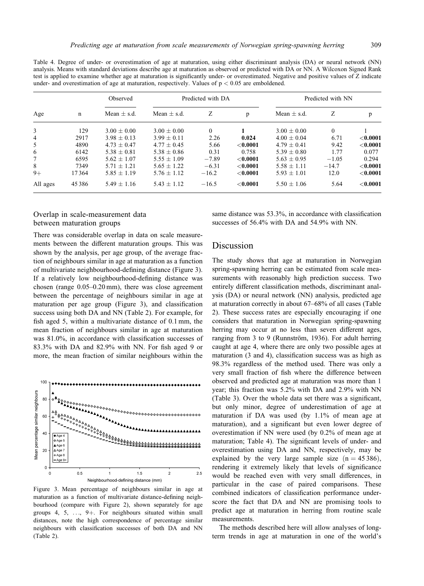Table 4. Degree of under- or overestimation of age at maturation, using either discriminant analysis (DA) or neural network (NN) analysis. Means with standard deviations describe age at maturation as observed or predicted with DA or NN. A Wilcoxon Signed Rank test is applied to examine whether age at maturation is significantly under- or overestimated. Negative and positive values of Z indicate under- and overestimation of age at maturation, respectively. Values of  $p < 0.05$  are emboldened.

| Age            |             | Observed        |                 | Predicted with DA |             | Predicted with NN |          |             |
|----------------|-------------|-----------------|-----------------|-------------------|-------------|-------------------|----------|-------------|
|                | $\mathbf n$ | Mean $\pm$ s.d. | Mean $+$ s.d.   | Ζ                 | p           | Mean $\pm$ s.d.   | Ζ        | p           |
| 3              | 129         | $3.00 + 0.00$   | $3.00 + 0.00$   | $\theta$          |             | $3.00 + 0.00$     | $\theta$ |             |
| $\overline{4}$ | 2917        | $3.98 + 0.13$   | $3.99 + 0.11$   | 2.26              | 0.024       | $4.00 + 0.04$     | 6.71     | ${<}0.0001$ |
| 5              | 4890        | $4.73 + 0.47$   | $4.77 + 0.45$   | 5.66              | < 0.0001    | $4.79 + 0.41$     | 9.42     | < 0.0001    |
| 6              | 6142        | $5.38 + 0.81$   | $5.38 \pm 0.86$ | 0.31              | 0.758       | $5.39 + 0.80$     | 1.77     | 0.077       |
| 7              | 6595        | $5.62 + 1.07$   | $5.55 + 1.09$   | $-7.89$           | < 0.0001    | $5.63 + 0.95$     | $-1.05$  | 0.294       |
| 8              | 7349        | $5.71 + 1.21$   | $5.65 + 1.22$   | $-6.31$           | ${<}0.0001$ | $5.58 + 1.11$     | $-14.7$  | < 0.0001    |
| $9+$           | 17364       | $5.85 + 1.19$   | $5.76 + 1.12$   | $-16.2$           | ${<}0.0001$ | $5.93 + 1.01$     | 12.0     | ${<}0.0001$ |
| All ages       | 45386       | $5.49 \pm 1.16$ | $5.43 \pm 1.12$ | $-16.5$           | ${<}0.0001$ | $5.50 \pm 1.06$   | 5.64     | ${<}0.0001$ |

#### Overlap in scale-measurement data between maturation groups

There was considerable overlap in data on scale measurements between the different maturation groups. This was shown by the analysis, per age group, of the average fraction of neighbours similar in age at maturation as a function of multivariate neighbourhood-defining distance (Figure 3). If a relatively low neighbourhood-defining distance was chosen (range 0.05–0.20 mm), there was close agreement between the percentage of neighbours similar in age at maturation per age group (Figure 3), and classification success using both DA and NN (Table 2). For example, for fish aged 5, within a multivariate distance of 0.1 mm, the mean fraction of neighbours similar in age at maturation was 81.0%, in accordance with classification successes of 83.3% with DA and 82.9% with NN. For fish aged 9 or more, the mean fraction of similar neighbours within the



Figure 3. Mean percentage of neighbours similar in age at maturation as a function of multivariate distance-defining neighbourhood (compare with Figure 2), shown separately for age groups 4, 5,  $\dots$ , 9+. For neighbours situated within small distances, note the high correspondence of percentage similar neighbours with classification successes of both DA and NN (Table 2).

same distance was 53.3%, in accordance with classification successes of 56.4% with DA and 54.9% with NN.

## Discussion

The study shows that age at maturation in Norwegian spring-spawning herring can be estimated from scale measurements with reasonably high prediction success. Two entirely different classification methods, discriminant analysis (DA) or neural network (NN) analysis, predicted age at maturation correctly in about 67–68% of all cases (Table 2). These success rates are especially encouraging if one considers that maturation in Norwegian spring-spawning herring may occur at no less than seven different ages, ranging from  $3$  to  $9$  (Runnström, 1936). For adult herring caught at age 4, where there are only two possible ages at maturation (3 and 4), classification success was as high as 98.3% regardless of the method used. There was only a very small fraction of fish where the difference between observed and predicted age at maturation was more than 1 year; this fraction was 5.2% with DA and 2.9% with NN (Table 3). Over the whole data set there was a significant, but only minor, degree of underestimation of age at maturation if DA was used (by 1.1% of mean age at maturation), and a significant but even lower degree of overestimation if NN were used (by 0.2% of mean age at maturation; Table 4). The significant levels of under- and overestimation using DA and NN, respectively, may be explained by the very large sample size  $(n = 45386)$ , rendering it extremely likely that levels of significance would be reached even with very small differences, in particular in the case of paired comparisons. These combined indicators of classification performance underscore the fact that DA and NN are promising tools to predict age at maturation in herring from routine scale measurements.

The methods described here will allow analyses of longterm trends in age at maturation in one of the world's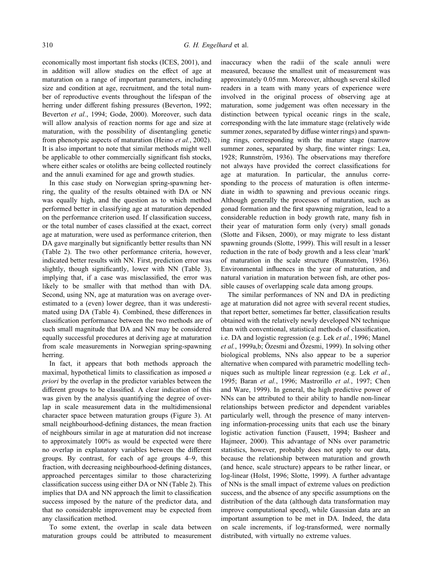economically most important fish stocks (ICES, 2001), and in addition will allow studies on the effect of age at maturation on a range of important parameters, including size and condition at age, recruitment, and the total number of reproductive events throughout the lifespan of the herring under different fishing pressures (Beverton, 1992; Beverton et al., 1994; Godø, 2000). Moreover, such data will allow analysis of reaction norms for age and size at maturation, with the possibility of disentangling genetic from phenotypic aspects of maturation (Heino *et al.*, 2002). It is also important to note that similar methods might well be applicable to other commercially significant fish stocks, where either scales or otoliths are being collected routinely and the annuli examined for age and growth studies.

In this case study on Norwegian spring-spawning herring, the quality of the results obtained with DA or NN was equally high, and the question as to which method performed better in classifying age at maturation depended on the performance criterion used. If classification success, or the total number of cases classified at the exact, correct age at maturation, were used as performance criterion, then DA gave marginally but significantly better results than NN (Table 2). The two other performance criteria, however, indicated better results with NN. First, prediction error was slightly, though significantly, lower with NN (Table 3), implying that, if a case was misclassified, the error was likely to be smaller with that method than with DA. Second, using NN, age at maturation was on average overestimated to a (even) lower degree, than it was underestimated using DA (Table 4). Combined, these differences in classification performance between the two methods are of such small magnitude that DA and NN may be considered equally successful procedures at deriving age at maturation from scale measurements in Norwegian spring-spawning herring.

In fact, it appears that both methods approach the maximal, hypothetical limits to classification as imposed a priori by the overlap in the predictor variables between the different groups to be classified. A clear indication of this was given by the analysis quantifying the degree of overlap in scale measurement data in the multidimensional character space between maturation groups (Figure 3). At small neighbourhood-defining distances, the mean fraction of neighbours similar in age at maturation did not increase to approximately 100% as would be expected were there no overlap in explanatory variables between the different groups. By contrast, for each of age groups 4–9, this fraction, with decreasing neighbourhood-defining distances, approached percentages similar to those characterizing classification success using either DA or NN (Table 2). This implies that DA and NN approach the limit to classification success imposed by the nature of the predictor data, and that no considerable improvement may be expected from any classification method.

To some extent, the overlap in scale data between maturation groups could be attributed to measurement inaccuracy when the radii of the scale annuli were measured, because the smallest unit of measurement was approximately 0.05 mm. Moreover, although several skilled readers in a team with many years of experience were involved in the original process of observing age at maturation, some judgement was often necessary in the distinction between typical oceanic rings in the scale, corresponding with the late immature stage (relatively wide summer zones, separated by diffuse winter rings) and spawning rings, corresponding with the mature stage (narrow summer zones, separated by sharp, fine winter rings: Lea, 1928; Runnström, 1936). The observations may therefore not always have provided the correct classifications for age at maturation. In particular, the annulus corresponding to the process of maturation is often intermediate in width to spawning and previous oceanic rings. Although generally the processes of maturation, such as gonad formation and the first spawning migration, lead to a considerable reduction in body growth rate, many fish in their year of maturation form only (very) small gonads (Slotte and Fiksen, 2000), or may migrate to less distant spawning grounds (Slotte, 1999). This will result in a lesser reduction in the rate of body growth and a less clear 'mark' of maturation in the scale structure (Runnström, 1936). Environmental influences in the year of maturation, and natural variation in maturation between fish, are other possible causes of overlapping scale data among groups.

The similar performances of NN and DA in predicting age at maturation did not agree with several recent studies, that report better, sometimes far better, classification results obtained with the relatively newly developed NN technique than with conventional, statistical methods of classification, i.e. DA and logistic regression (e.g. Lek et al., 1996; Manel  $et al., 1999a,b; Özesmi and Özesmi, 1999). In solving other$ biological problems, NNs also appear to be a superior alternative when compared with parametric modelling techniques such as multiple linear regression (e.g. Lek et al., 1995; Baran et al., 1996; Mastrorillo et al., 1997; Chen and Ware, 1999). In general, the high predictive power of NNs can be attributed to their ability to handle non-linear relationships between predictor and dependent variables particularly well, through the presence of many intervening information-processing units that each use the binary logistic activation function (Fausett, 1994; Basheer and Hajmeer, 2000). This advantage of NNs over parametric statistics, however, probably does not apply to our data, because the relationship between maturation and growth (and hence, scale structure) appears to be rather linear, or log-linear (Holst, 1996; Slotte, 1999). A further advantage of NNs is the small impact of extreme values on prediction success, and the absence of any specific assumptions on the distribution of the data (although data transformation may improve computational speed), while Gaussian data are an important assumption to be met in DA. Indeed, the data on scale increments, if log-transformed, were normally distributed, with virtually no extreme values.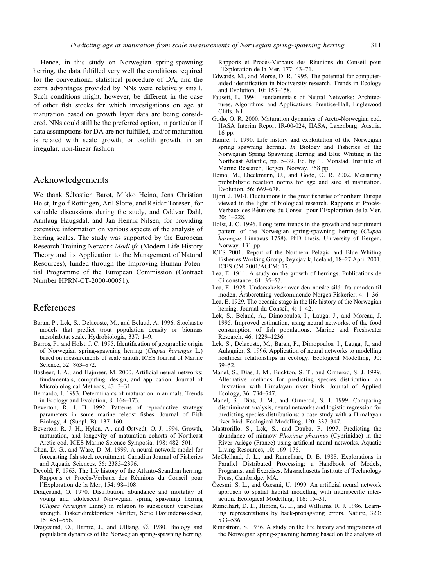Hence, in this study on Norwegian spring-spawning herring, the data fulfilled very well the conditions required for the conventional statistical procedure of DA, and the extra advantages provided by NNs were relatively small. Such conditions might, however, be different in the case of other fish stocks for which investigations on age at maturation based on growth layer data are being considered. NNs could still be the preferred option, in particular if data assumptions for DA are not fulfilled, and/or maturation is related with scale growth, or otolith growth, in an irregular, non-linear fashion.

## Acknowledgements

We thank Sébastien Barot, Mikko Heino, Jens Christian Holst, Ingolf Røttingen, Aril Slotte, and Reidar Toresen, for valuable discussions during the study, and Oddvar Dahl, Annlaug Haugsdal, and Jan Henrik Nilsen, for providing extensive information on various aspects of the analysis of herring scales. The study was supported by the European Research Training Network ModLife (Modern Life History Theory and its Application to the Management of Natural Resources), funded through the Improving Human Potential Programme of the European Commission (Contract Number HPRN-CT-2000-00051).

## References

- Baran, P., Lek, S., Delacoste, M., and Belaud, A. 1996. Stochastic models that predict trout population density or biomass mesohabitat scale. Hydrobiologia, 337: 1–9.
- Barros, P., and Holst, J. C. 1995. Identification of geographic origin of Norwegian spring-spawning herring (Clupea harengus L.) based on measurements of scale annuli. ICES Journal of Marine Science, 52: 863–872.
- Basheer, I. A., and Hajmeer, M. 2000. Artificial neural networks: fundamentals, computing, design, and application. Journal of Microbiological Methods, 43: 3–31.
- Bernardo, J. 1993. Determinants of maturation in animals. Trends in Ecology and Evolution, 8: 166–173.
- Beverton, R. J. H. 1992. Patterns of reproductive strategy parameters in some marine teleost fishes. Journal of Fish Biology, 41(Suppl. B): 137–160.
- Beverton, R. J. H., Hylen, A., and Østvedt, O. J. 1994. Growth, maturation, and longevity of maturation cohorts of Northeast Arctic cod. ICES Marine Science Symposia, 198: 482–501.
- Chen, D. G., and Ware, D. M. 1999. A neural network model for forecasting fish stock recruitment. Canadian Journal of Fisheries and Aquatic Sciences, 56: 2385–2396.
- Devold, F. 1963. The life history of the Atlanto-Scandian herring. Rapports et Procès-Verbaux des Réunions du Conseil pour l'Exploration de la Mer, 154: 98–108.
- Dragesund, O. 1970. Distribution, abundance and mortality of young and adolescent Norwegian spring spawning herring (Clupea harengus Linné) in relation to subsequent year-class strength. Fiskeridirektoratets Skrifter, Serie Havundersøkelser, 15: 451–556.
- Dragesund, O., Hamre, J., and Ulltang, Ø. 1980. Biology and population dynamics of the Norwegian spring-spawning herring.

Rapports et Procès-Verbaux des Réunions du Conseil pour l'Exploration de la Mer, 177: 43–71.

- Edwards, M., and Morse, D. R. 1995. The potential for computeraided identification in biodiversity research. Trends in Ecology and Evolution, 10: 153–158.
- Fausett, L. 1994. Fundamentals of Neural Networks: Architectures, Algorithms, and Applications. Prentice-Hall, Englewood Cliffs, NJ.
- Godø, O. R. 2000. Maturation dynamics of Arcto-Norwegian cod. IIASA Interim Report IR-00-024, IIASA, Laxenburg, Austria. 16 pp.
- Hamre, J. 1990. Life history and exploitation of the Norwegian spring spawning herring. In Biology and Fisheries of the Norwegian Spring Spawning Herring and Blue Whiting in the Northeast Atlantic, pp. 5–39. Ed. by T. Monstad. Institute of Marine Research, Bergen, Norway. 358 pp.
- Heino, M., Dieckmann, U., and Godø, O. R. 2002. Measuring probabilistic reaction norms for age and size at maturation. Evolution, 56: 669–678.
- Hjort, J. 1914. Fluctuations in the great fisheries of northern Europe viewed in the light of biological research. Rapports et Procès-Verbaux des Réunions du Conseil pour l'Exploration de la Mer, 20: 1–228.
- Holst, J. C. 1996. Long term trends in the growth and recruitment pattern of the Norwegian spring-spawning herring (Clupea harengus Linnaeus 1758). PhD thesis, University of Bergen, Norway. 131 pp.
- ICES 2001. Report of the Northern Pelagic and Blue Whiting Fisheries Working Group, Reykjavík, Iceland, 18–27 April 2001. ICES CM 2001/ACFM: 17.
- Lea, E. 1911. A study on the growth of herrings. Publications de Circonstance, 61: 35–57.
- Lea, E. 1928. Undersøkelser over den norske sild: fra umoden til moden. Årsberetning vedkommende Norges Fiskerier, 4: 1–36.
- Lea, E. 1929. The oceanic stage in the life history of the Norwegian herring. Journal du Conseil, 4: 1-42.
- Lek, S., Belaud, A., Dimopoulos, I., Lauga, J., and Moreau, J. 1995. Improved estimation, using neural networks, of the food consumption of fish populations. Marine and Freshwater Research, 46: 1229–1236.
- Lek, S., Delacoste, M., Baran, P., Dimopoulos, I., Lauga, J., and Aulagnier, S. 1996. Application of neural networks to modelling nonlinear relationships in ecology. Ecological Modelling, 90: 39–52.
- Manel, S., Dias, J. M., Buckton, S. T., and Ormerod, S. J. 1999. Alternative methods for predicting species distribution: an illustration with Himalayan river birds. Journal of Applied Ecology, 36: 734–747.
- Manel, S., Dias, J. M., and Ormerod, S. J. 1999. Comparing discriminant analysis, neural networks and logistic regression for predicting species distributions: a case study with a Himalayan river bird. Ecological Modelling, 120: 337–347.
- Mastrorillo, S., Lek, S., and Dauba, F. 1997. Predicting the abundance of minnow Phoxinus phoxinus (Cyprinidae) in the River Ariège (France) using artificial neural networks. Aquatic Living Resources, 10: 169–176.
- McClelland, J. L., and Rumelhart, D. E. 1988. Explorations in Parallel Distributed Processing; a Handbook of Models, Programs, and Exercises. Massachusetts Institute of Technology Press, Cambridge, MA.
- Özesmi, S. L., and Özesmi, U. 1999. An artificial neural network approach to spatial habitat modelling with interspecific interaction. Ecological Modelling, 116: 15–31.
- Rumelhart, D. E., Hinton, G. E., and Williams, R. J. 1986. Learning representations by back-propagating errors. Nature, 323: 533–536.
- Runnström, S. 1936. A study on the life history and migrations of the Norwegian spring-spawning herring based on the analysis of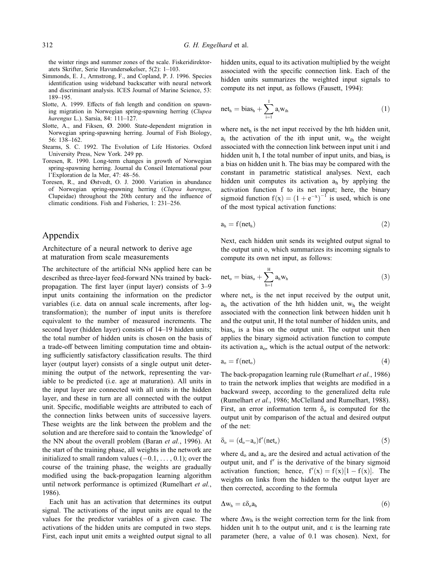the winter rings and summer zones of the scale. Fiskeridirektoratets Skrifter, Serie Havundersøkelser, 5(2): 1–103.

- Simmonds, E. J., Armstrong, F., and Copland, P. J. 1996. Species identification using wideband backscatter with neural network and discriminant analysis. ICES Journal of Marine Science, 53: 189–195.
- Slotte, A. 1999. Effects of fish length and condition on spawning migration in Norwegian spring-spawning herring (Clupea harengus L.). Sarsia, 84: 111–127.
- Slotte, A., and Fiksen, Ø. 2000. State-dependent migration in Norwegian spring-spawning herring. Journal of Fish Biology, 56: 138–162.
- Stearns, S. C. 1992. The Evolution of Life Histories. Oxford University Press, New York. 249 pp.
- Toresen, R. 1990. Long-term changes in growth of Norwegian spring-spawning herring. Journal du Conseil International pour l'Exploration de la Mer, 47: 48–56.
- Toresen, R., and Østvedt, O. J. 2000. Variation in abundance of Norwegian spring-spawning herring (Clupea harengus, Clupeidae) throughout the 20th century and the influence of climatic conditions. Fish and Fisheries, 1: 231–256.

## Appendix

Architecture of a neural network to derive age at maturation from scale measurements

The architecture of the artificial NNs applied here can be described as three-layer feed-forward NNs trained by backpropagation. The first layer (input layer) consists of 3–9 input units containing the information on the predictor variables (i.e. data on annual scale increments, after logtransformation); the number of input units is therefore equivalent to the number of measured increments. The second layer (hidden layer) consists of 14–19 hidden units; the total number of hidden units is chosen on the basis of a trade-off between limiting computation time and obtaining sufficiently satisfactory classification results. The third layer (output layer) consists of a single output unit determining the output of the network, representing the variable to be predicted (i.e. age at maturation). All units in the input layer are connected with all units in the hidden layer, and these in turn are all connected with the output unit. Specific, modifiable weights are attributed to each of the connection links between units of successive layers. These weights are the link between the problem and the solution and are therefore said to contain the 'knowledge' of the NN about the overall problem (Baran et al., 1996). At the start of the training phase, all weights in the network are initialized to small random values  $(-0.1, \ldots, 0.1)$ ; over the course of the training phase, the weights are gradually modified using the back-propagation learning algorithm until network performance is optimized (Rumelhart et al., 1986).

Each unit has an activation that determines its output signal. The activations of the input units are equal to the values for the predictor variables of a given case. The activations of the hidden units are computed in two steps. First, each input unit emits a weighted output signal to all hidden units, equal to its activation multiplied by the weight associated with the specific connection link. Each of the hidden units summarizes the weighted input signals to compute its net input, as follows (Fausett, 1994):

$$
net_h = bias_h + \sum_{i=1}^{I} a_i w_{ih}
$$
 (1)

where  $net<sub>h</sub>$  is the net input received by the hth hidden unit,  $a_i$  the activation of the ith input unit,  $w_{ih}$  the weight associated with the connection link between input unit i and hidden unit h, I the total number of input units, and bias $_{h}$  is a bias on hidden unit h. The bias may be compared with the constant in parametric statistical analyses. Next, each hidden unit computes its activation  $a<sub>h</sub>$  by applying the activation function f to its net input; here, the binary sigmoid function  $f(x) = (1 + e^{-x})^{-1}$  is used, which is one of the most typical activation functions:

$$
a_h = f(net_h) \tag{2}
$$

Next, each hidden unit sends its weighted output signal to the output unit o, which summarizes its incoming signals to compute its own net input, as follows:

$$
net_o = bias_o + \sum_{h=1}^{H} a_h w_h
$$
 (3)

where net<sub>o</sub> is the net input received by the output unit,  $a_h$  the activation of the hth hidden unit,  $w_h$  the weight associated with the connection link between hidden unit h and the output unit, H the total number of hidden units, and  $bias<sub>o</sub>$  is a bias on the output unit. The output unit then applies the binary sigmoid activation function to compute its activation  $a_0$ , which is the actual output of the network:

$$
a_o = f(\text{net}_o) \tag{4}
$$

The back-propagation learning rule (Rumelhart et al., 1986) to train the network implies that weights are modified in a backward sweep, according to the generalized delta rule (Rumelhart et al., 1986; McClelland and Rumelhart, 1988). First, an error information term  $\delta_0$  is computed for the output unit by comparison of the actual and desired output of the net:

$$
\delta_o = (d_o - a_o) f'(net_o) \tag{5}
$$

where  $d_0$  and  $a_0$  are the desired and actual activation of the output unit, and  $f'$  is the derivative of the binary sigmoid activation function; hence,  $f'(x) = f(x)[1 - f(x)]$ . The weights on links from the hidden to the output layer are then corrected, according to the formula

$$
\Delta w_h = \epsilon \delta_o a_h \tag{6}
$$

where  $\Delta w_h$  is the weight correction term for the link from hidden unit h to the output unit, and  $\varepsilon$  is the learning rate parameter (here, a value of 0.1 was chosen). Next, for